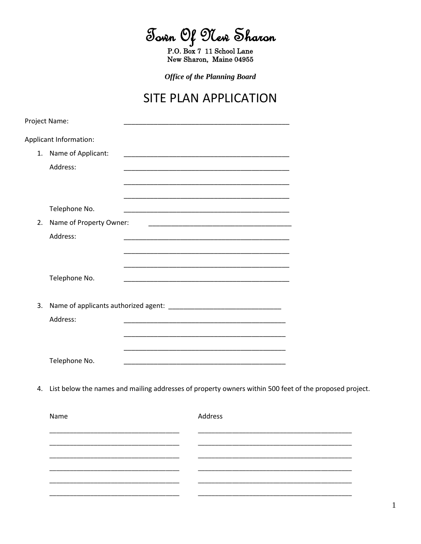Jown Of New Sharon

P.O. Box 7 11 School Lane New Sharon, Maine 04955

**Office of the Planning Board** 

## SITE PLAN APPLICATION

|                        | Project Name:           |                                                                                                                       |  |  |  |  |
|------------------------|-------------------------|-----------------------------------------------------------------------------------------------------------------------|--|--|--|--|
| Applicant Information: |                         |                                                                                                                       |  |  |  |  |
|                        | 1. Name of Applicant:   |                                                                                                                       |  |  |  |  |
|                        | Address:                |                                                                                                                       |  |  |  |  |
|                        |                         |                                                                                                                       |  |  |  |  |
|                        |                         |                                                                                                                       |  |  |  |  |
|                        | Telephone No.           |                                                                                                                       |  |  |  |  |
| 2.                     | Name of Property Owner: |                                                                                                                       |  |  |  |  |
|                        | Address:                |                                                                                                                       |  |  |  |  |
|                        |                         |                                                                                                                       |  |  |  |  |
|                        |                         |                                                                                                                       |  |  |  |  |
|                        | Telephone No.           |                                                                                                                       |  |  |  |  |
|                        |                         |                                                                                                                       |  |  |  |  |
| 3.                     |                         |                                                                                                                       |  |  |  |  |
|                        | Address:                |                                                                                                                       |  |  |  |  |
|                        |                         |                                                                                                                       |  |  |  |  |
|                        |                         | <u> 1989 - Johann Stoff, deutscher Stoff, der Stoff, der Stoff, der Stoff, der Stoff, der Stoff, der Stoff, der S</u> |  |  |  |  |
|                        | Telephone No.           |                                                                                                                       |  |  |  |  |
|                        |                         |                                                                                                                       |  |  |  |  |

4. List below the names and mailing addresses of property owners within 500 feet of the proposed project.

| Name |  | Address |  |  |
|------|--|---------|--|--|
|      |  |         |  |  |
|      |  |         |  |  |
|      |  |         |  |  |
|      |  |         |  |  |
|      |  |         |  |  |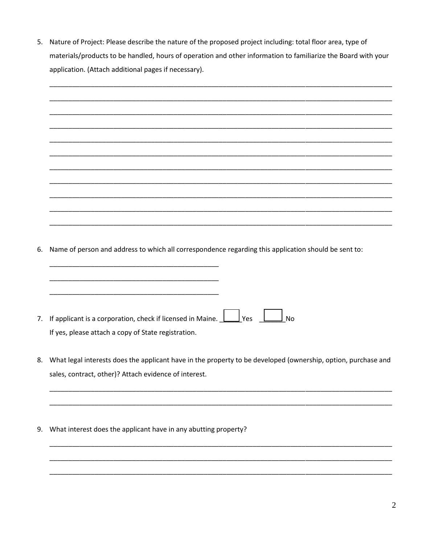5. Nature of Project: Please describe the nature of the proposed project including: total floor area, type of materials/products to be handled, hours of operation and other information to familiarize the Board with your application. (Attach additional pages if necessary).

| 6. | Name of person and address to which all correspondence regarding this application should be sent to:                                                                   |
|----|------------------------------------------------------------------------------------------------------------------------------------------------------------------------|
|    |                                                                                                                                                                        |
|    |                                                                                                                                                                        |
|    |                                                                                                                                                                        |
| 7. | If applicant is a corporation, check if licensed in Maine. $\perp$<br>$\mathsf{l}$ Yes<br><b>No</b>                                                                    |
|    | If yes, please attach a copy of State registration.                                                                                                                    |
|    |                                                                                                                                                                        |
| 8. | What legal interests does the applicant have in the property to be developed (ownership, option, purchase and<br>sales, contract, other)? Attach evidence of interest. |
|    |                                                                                                                                                                        |
|    |                                                                                                                                                                        |
|    |                                                                                                                                                                        |
| 9. | What interest does the applicant have in any abutting property?                                                                                                        |
|    |                                                                                                                                                                        |
|    |                                                                                                                                                                        |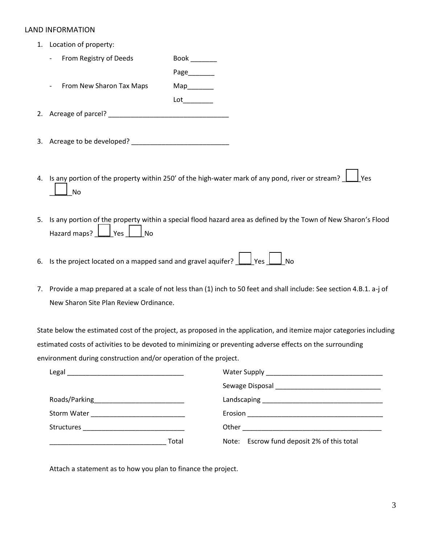## LAND INFORMATION

- 1. Location of property:
	- From Registry of Deeds Book \_\_\_\_\_\_\_\_

Page\_\_\_\_\_\_\_ From New Sharon Tax Maps Map

 $Lot$ 

2. Acreage of parcel?

- 3. Acreage to be developed? \_\_\_\_\_\_\_\_\_\_\_\_\_\_\_\_\_\_\_\_\_\_\_\_\_\_
- 4. Is any portion of the property within 250' of the high-water mark of any pond, river or stream?  $\Box$  Yes \_\_\_\_\_\_No
- 5. Is any portion of the property within a special flood hazard area as defined by the Town of New Sharon's Flood Hazard maps?  $\Box$  Yes  $\Box$  No
- 6. Is the project located on a mapped sand and gravel aquifer?  $\boxed{\phantom{\cdot}}$  Yes  $\boxed{\phantom{\cdot}}$  No
- 7. Provide a map prepared at a scale of not less than (1) inch to 50 feet and shall include: See section 4.B.1. a-j of New Sharon Site Plan Review Ordinance.

State below the estimated cost of the project, as proposed in the application, and itemize major categories including estimated costs of activities to be devoted to minimizing or preventing adverse effects on the surrounding environment during construction and/or operation of the project.

| Legal<br><u> 1980 - Johann Barn, mars eta bainar eta bainar eta baina eta baina eta baina eta baina eta baina eta baina e</u> |                                            |
|-------------------------------------------------------------------------------------------------------------------------------|--------------------------------------------|
|                                                                                                                               |                                            |
|                                                                                                                               |                                            |
|                                                                                                                               |                                            |
|                                                                                                                               |                                            |
| Total                                                                                                                         | Note: Escrow fund deposit 2% of this total |

Attach a statement as to how you plan to finance the project.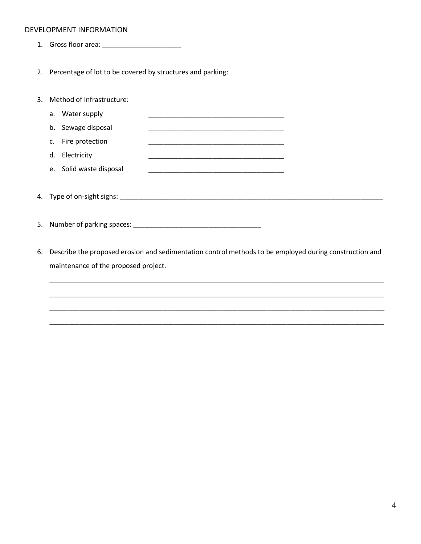## DEVELOPMENT INFORMATION

- 1. Gross floor area: \_\_\_\_\_\_\_\_\_\_\_\_\_\_\_\_\_\_\_\_\_
- 2. Percentage of lot to be covered by structures and parking:

| 3. Method of Infrastructure: |                            |  |
|------------------------------|----------------------------|--|
| a. Water supply              |                            |  |
| b. Sewage disposal           |                            |  |
| Fire protection<br>c.        |                            |  |
| d. Electricity               |                            |  |
| e. Solid waste disposal      |                            |  |
|                              | 4. Type of on-sight signs: |  |
|                              |                            |  |
|                              |                            |  |

6. Describe the proposed erosion and sedimentation control methods to be employed during construction and maintenance of the proposed project.

\_\_\_\_\_\_\_\_\_\_\_\_\_\_\_\_\_\_\_\_\_\_\_\_\_\_\_\_\_\_\_\_\_\_\_\_\_\_\_\_\_\_\_\_\_\_\_\_\_\_\_\_\_\_\_\_\_\_\_\_\_\_\_\_\_\_\_\_\_\_\_\_\_\_\_\_\_\_\_\_\_\_\_\_\_\_\_\_\_

\_\_\_\_\_\_\_\_\_\_\_\_\_\_\_\_\_\_\_\_\_\_\_\_\_\_\_\_\_\_\_\_\_\_\_\_\_\_\_\_\_\_\_\_\_\_\_\_\_\_\_\_\_\_\_\_\_\_\_\_\_\_\_\_\_\_\_\_\_\_\_\_\_\_\_\_\_\_\_\_\_\_\_\_\_\_\_\_\_

\_\_\_\_\_\_\_\_\_\_\_\_\_\_\_\_\_\_\_\_\_\_\_\_\_\_\_\_\_\_\_\_\_\_\_\_\_\_\_\_\_\_\_\_\_\_\_\_\_\_\_\_\_\_\_\_\_\_\_\_\_\_\_\_\_\_\_\_\_\_\_\_\_\_\_\_\_\_\_\_\_\_\_\_\_\_\_\_\_

\_\_\_\_\_\_\_\_\_\_\_\_\_\_\_\_\_\_\_\_\_\_\_\_\_\_\_\_\_\_\_\_\_\_\_\_\_\_\_\_\_\_\_\_\_\_\_\_\_\_\_\_\_\_\_\_\_\_\_\_\_\_\_\_\_\_\_\_\_\_\_\_\_\_\_\_\_\_\_\_\_\_\_\_\_\_\_\_\_